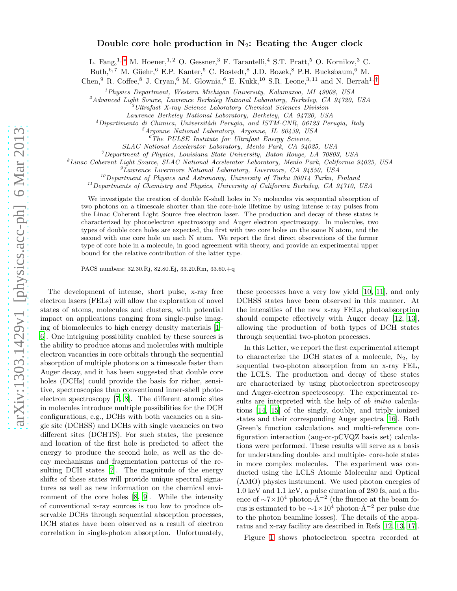## Double core hole production in  $N_2$ : Beating the Auger clock

L. Fang,<sup>1,\*</sup> M. Hoener,<sup>1,2</sup> O. Gessner,<sup>3</sup> F. Tarantelli,<sup>4</sup> S.T. Pratt,<sup>5</sup> O. Kornilov,<sup>3</sup> C.

Buth,<sup>6,7</sup> M. Güehr,<sup>6</sup> E.P. Kanter,<sup>5</sup> C. Bostedt,<sup>8</sup> J.D. Bozek,<sup>8</sup> P.H. Bucksbaum,<sup>6</sup> M.

Chen, <sup>9</sup> R. Coffee, <sup>8</sup> J. Cryan, <sup>6</sup> M. Glownia, <sup>6</sup> E. Kukk, <sup>10</sup> S.R. Leone, <sup>3, 11</sup> and N. Berrah<sup>1, [†](#page-3-1)</sup>

 $1<sup>1</sup>$ Physics Department, Western Michigan University, Kalamazoo, MI 49008, USA

<sup>2</sup>Advanced Light Source, Lawrence Berkeley National Laboratory, Berkeley, CA 94720, USA

 $4$ Dipartimento di Chimica, Universitàdi Perugia, and ISTM-CNR, 06123 Perugia, Italy

 $5$ Argonne National Laboratory, Argonne, IL 60439, USA

 ${}^6$ The PULSE Institute for Ultrafast Energy Science,

SLAC National Accelerator Laboratory, Menlo Park, CA 94025, USA

<sup>7</sup>Department of Physics, Louisiana State University, Baton Rouge, LA 70803, USA

 ${}^8$ Linac Coherent Light Source, SLAC National Accelerator Laboratory, Menlo Park, California 94025, USA

 ${}^{9}$ Lawrence Livermore National Laboratory, Livermore, CA 94550, USA

 $10$  Department of Physics and Astronomy, University of Turku 20014 Turku, Finland

 $11$  Departments of Chemistry and Physics, University of California Berkeley, CA 94710, USA

We investigate the creation of double K-shell holes in  $N_2$  molecules via sequential absorption of two photons on a timescale shorter than the core-hole lifetime by using intense x-ray pulses from the Linac Coherent Light Source free electron laser. The production and decay of these states is characterized by photoelectron spectroscopy and Auger electron spectroscopy. In molecules, two types of double core holes are expected, the first with two core holes on the same N atom, and the second with one core hole on each N atom. We report the first direct observations of the former type of core hole in a molecule, in good agreement with theory, and provide an experimental upper bound for the relative contribution of the latter type.

PACS numbers: 32.30.Rj, 82.80.Ej, 33.20.Rm, 33.60.+q

The development of intense, short pulse, x-ray free electron lasers (FELs) will allow the exploration of novel states of atoms, molecules and clusters, with potential impact on applications ranging from single-pulse imaging of biomolecules to high energy density materials [\[1](#page-3-2)– [6](#page-3-3)]. One intriguing possibility enabled by these sources is the ability to produce atoms and molecules with multiple electron vacancies in core orbitals through the sequential absorption of multiple photons on a timescale faster than Auger decay, and it has been suggested that double core holes (DCHs) could provide the basis for richer, sensitive, spectroscopies than conventional inner-shell photoelectron spectroscopy [\[7,](#page-3-4) [8\]](#page-3-5). The different atomic sites in molecules introduce multiple possibilities for the DCH configurations, e.g., DCHs with both vacancies on a single site (DCHSS) and DCHs with single vacancies on two different sites (DCHTS). For such states, the presence and location of the first hole is predicted to affect the energy to produce the second hole, as well as the decay mechanisms and fragmentation patterns of the resulting DCH states [\[7\]](#page-3-4). The magnitude of the energy shifts of these states will provide unique spectral signatures as well as new information on the chemical environment of the core holes [\[8](#page-3-5), [9](#page-3-6)]. While the intensity of conventional x-ray sources is too low to produce observable DCHs through sequential absorption processes, DCH states have been observed as a result of electron correlation in single-photon absorption. Unfortunately,

these processes have a very low yield [\[10,](#page-3-7) [11](#page-3-8)], and only DCHSS states have been observed in this manner. At the intensities of the new x-ray FELs, photoabsorption should compete effectively with Auger decay [\[12,](#page-3-9) [13\]](#page-3-10), allowing the production of both types of DCH states through sequential two-photon processes.

In this Letter, we report the first experimental attempt to characterize the DCH states of a molecule,  $N_2$ , by sequential two-photon absorption from an x-ray FEL, the LCLS. The production and decay of these states are characterized by using photoelectron spectroscopy and Auger-electron spectroscopy. The experimental results are interpreted with the help of *ab initio* calculations [\[14,](#page-3-11) [15](#page-3-12)] of the singly, doubly, and triply ionized states and their corresponding Auger spectra [\[16](#page-4-0)]. Both Green's function calculations and multi-reference configuration interaction (aug-cc-pCVQZ basis set) calculations were performed. These results will serve as a basis for understanding double- and multiple- core-hole states in more complex molecules. The experiment was conducted using the LCLS Atomic Molecular and Optical (AMO) physics instrument. We used photon energies of 1.0 keV and 1.1 keV, a pulse duration of 280 fs, and a fluence of  $\sim$ 7×10<sup>4</sup> photon $\cdot$ Å<sup>-2</sup> (the fluence at the beam focus is estimated to be  $\sim 1 \times 10^4$  photon·Å<sup>-2</sup> per pulse due to the photon beamline losses). The details of the apparatus and x-ray facility are described in Refs [\[12](#page-3-9), [13,](#page-3-10) [17\]](#page-4-1).

Figure [1](#page-1-0) shows photoelectron spectra recorded at

 $3$ Ultrafast X-ray Science Laboratory Chemical Sciences Division

Lawrence Berkeley National Laboratory, Berkeley, CA 94720, USA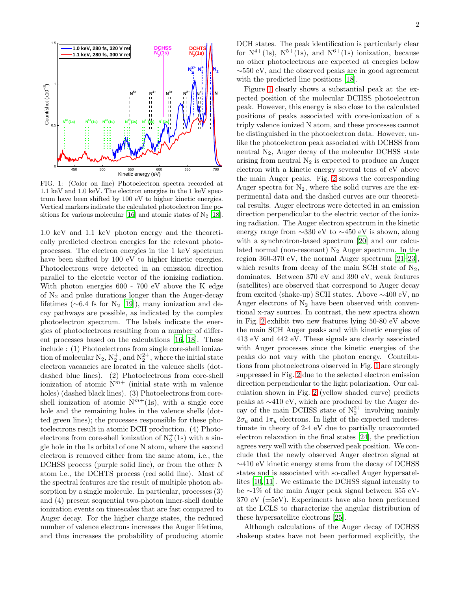

<span id="page-1-0"></span>FIG. 1: (Color on line) Photoelectron spectra recorded at 1.1 keV and 1.0 keV. The electron energies in the 1 keV spectrum have been shifted by 100 eV to higher kinetic energies. Vertical markers indicate the calculated photoelectron line po-sitions for various molecular [\[16](#page-4-0)] and atomic states of  $N_2$  [\[18\]](#page-4-2).

1.0 keV and 1.1 keV photon energy and the theoretically predicted electron energies for the relevant photoprocesses. The electron energies in the 1 keV spectrum have been shifted by 100 eV to higher kinetic energies. Photoelectrons were detected in an emission direction parallel to the electric vector of the ionizing radiation. With photon energies 600 - 700 eV above the K edge of  $N_2$  and pulse durations longer than the Auger-decay lifetimes ( $\sim$ 6.4 fs for N<sub>2</sub> [\[19\]](#page-4-3)), many ionization and decay pathways are possible, as indicated by the complex photoelectron spectrum. The labels indicate the energies of photoelectrons resulting from a number of different processes based on the calculations [\[16,](#page-4-0) [18](#page-4-2)]. These include : (1) Photoelectrons from single core-shell ionization of molecular  $N_2$ ,  $N_2^+$ , and  $N_2^{2+}$ , where the initial state electron vacancies are located in the valence shells (dotdashed blue lines). (2) Photoelectrons from core-shell ionization of atomic  $N^{m+}$  (initial state with m valence holes) (dashed black lines). (3) Photoelectrons from coreshell ionization of atomic  $N^{m+}(1s)$ , with a single core hole and the remaining holes in the valence shells (dotted green lines); the processes responsible for these photoelectrons result in atomic DCH production. (4) Photoelectrons from core-shell ionization of  $N_2^+(1s)$  with a single hole in the 1s orbital of one N atom, where the second electron is removed either from the same atom, i.e., the DCHSS process (purple solid line), or from the other N atom i.e., the DCHTS process (red solid line). Most of the spectral features are the result of multiple photon absorption by a single molecule. In particular, processes (3) and (4) present sequential two-photon inner-shell double ionization events on timescales that are fast compared to Auger decay. For the higher charge states, the reduced number of valence electrons increases the Auger lifetime, and thus increases the probability of producing atomic DCH states. The peak identification is particularly clear for  $N^{4+}(1s)$ ,  $N^{5+}(1s)$ , and  $N^{6+}(1s)$  ionization, because no other photoelectrons are expected at energies below ∼550 eV, and the observed peaks are in good agreement with the predicted line positions [\[18](#page-4-2)].

Figure [1](#page-1-0) clearly shows a substantial peak at the expected position of the molecular DCHSS photoelectron peak. However, this energy is also close to the calculated positions of peaks associated with core-ionization of a triply valence ionized N atom, and these processes cannot be distinguished in the photoelectron data. However, unlike the photoelectron peak associated with DCHSS from neutral  $N_2$ , Auger decay of the molecular DCHSS state arising from neutral  $N_2$  is expected to produce an Auger electron with a kinetic energy several tens of eV above the main Auger peaks. Fig. [2](#page-2-0) shows the corresponding Auger spectra for  $N_2$ , where the solid curves are the experimental data and the dashed curves are our theoretical results. Auger electrons were detected in an emission direction perpendicular to the electric vector of the ionizing radiation. The Auger electron spectrum in the kinetic energy range from ∼330 eV to ∼450 eV is shown, along with a synchrotron-based spectrum [\[20\]](#page-4-4) and our calculated normal (non-resonant)  $N_2$  Auger spectrum. In the region 360-370 eV, the normal Auger spectrum [\[21](#page-4-5)[–23\]](#page-4-6), which results from decay of the main SCH state of  $N_2$ , dominates. Between 370 eV and 390 eV, weak features (satellites) are observed that correspond to Auger decay from excited (shake-up) SCH states. Above ∼400 eV, no Auger electrons of  $N_2$  have been observed with conventional x-ray sources. In contrast, the new spectra shown in Fig. [2](#page-2-0) exhibit two new features lying 50-80 eV above the main SCH Auger peaks and with kinetic energies of 413 eV and 442 eV. These signals are clearly associated with Auger processes since the kinetic energies of the peaks do not vary with the photon energy. Contributions from photoelectrons observed in Fig. [1](#page-1-0) are strongly suppressed in Fig. [2](#page-2-0) due to the selected electron emission direction perpendicular to the light polarization. Our calculation shown in Fig. [2](#page-2-0) (yellow shaded curve) predicts peaks at ∼410 eV, which are produced by the Auger decay of the main DCHSS state of  $N_2^{2+}$  involving mainly  $2\sigma_u$  and  $1\pi_u$  electrons. In light of the expected underestimate in theory of 2-4 eV due to partially unaccounted electron relaxation in the final states [\[24\]](#page-4-7), the prediction agrees very well with the observed peak position. We conclude that the newly observed Auger electron signal at ∼410 eV kinetic energy stems from the decay of DCHSS states and is associated with so-called Auger hypersatellites [\[10,](#page-3-7) [11\]](#page-3-8). We estimate the DCHSS signal intensity to be ∼1% of the main Auger peak signal between 355 eV- $370$  eV ( $\pm 5$ eV). Experiments have also been performed at the LCLS to characterize the angular distribution of these hypersatellite electrons [\[25\]](#page-4-8).

Although calculations of the Auger decay of DCHSS shakeup states have not been performed explicitly, the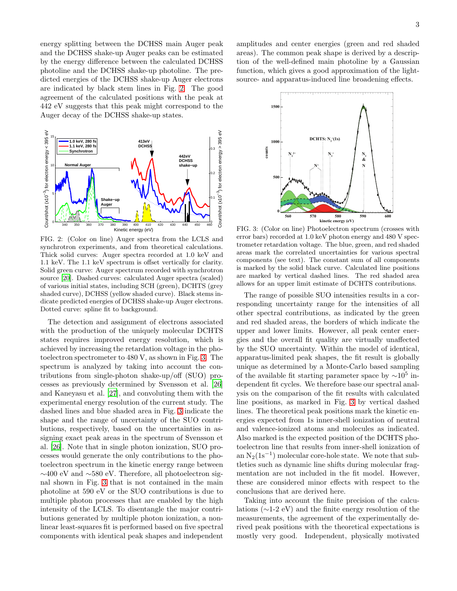energy splitting between the DCHSS main Auger peak and the DCHSS shake-up Auger peaks can be estimated by the energy difference between the calculated DCHSS photoline and the DCHSS shake-up photoline. The predicted energies of the DCHSS shake-up Auger electrons are indicated by black stem lines in Fig. [2.](#page-2-0) The good agreement of the calculated positions with the peak at 442 eV suggests that this peak might correspond to the Auger decay of the DCHSS shake-up states.



<span id="page-2-0"></span>FIG. 2: (Color on line) Auger spectra from the LCLS and synchrotron experiments, and from theoretical calculations. Thick solid curves: Auger spectra recorded at 1.0 keV and 1.1 keV. The 1.1 keV spectrum is offset vertically for clarity. Solid green curve: Auger spectrum recorded with synchrotron source [\[20](#page-4-4)]. Dashed curves: calculated Auger spectra (scaled) of various initial states, including SCH (green), DCHTS (grey shaded curve), DCHSS (yellow shaded curve). Black stems indicate predicted energies of DCHSS shake-up Auger electrons. Dotted curve: spline fit to background.

The detection and assignment of electrons associated with the production of the uniquely molecular DCHTS states requires improved energy resolution, which is achieved by increasing the retardation voltage in the photoelectron spectrometer to 480 V, as shown in Fig. [3.](#page-2-1) The spectrum is analyzed by taking into account the contributions from single-photon shake-up/off (SUO) processes as previously determined by Svensson et al. [\[26](#page-4-9)] and Kaneyasu et al. [\[27](#page-4-10)], and convoluting them with the experimental energy resolution of the current study. The dashed lines and blue shaded area in Fig. [3](#page-2-1) indicate the shape and the range of uncertainty of the SUO contributions, respectively, based on the uncertainties in assigning exact peak areas in the spectrum of Svensson et al. [\[26\]](#page-4-9). Note that in single photon ionization, SUO processes would generate the only contributions to the photoelectron spectrum in the kinetic energy range between ∼400 eV and ∼580 eV. Therefore, all photoelectron signal shown in Fig. [3](#page-2-1) that is not contained in the main photoline at 590 eV or the SUO contributions is due to multiple photon processes that are enabled by the high intensity of the LCLS. To disentangle the major contributions generated by multiple photon ionization, a nonlinear least-squares fit is performed based on five spectral components with identical peak shapes and independent

amplitudes and center energies (green and red shaded areas). The common peak shape is derived by a description of the well-defined main photoline by a Gaussian function, which gives a good approximation of the lightsource- and apparatus-induced line broadening effects.



<span id="page-2-1"></span>FIG. 3: (Color on line) Photoelectron spectrum (crosses with error bars) recorded at 1.0 keV photon energy and 480 V spectrometer retardation voltage. The blue, green, and red shaded areas mark the correlated uncertainties for various spectral components (see text). The constant sum of all components is marked by the solid black curve. Calculated line positions are marked by vertical dashed lines. The red shaded area allows for an upper limit estimate of DCHTS contributions.

The range of possible SUO intensities results in a corresponding uncertainty range for the intensities of all other spectral contributions, as indicated by the green and red shaded areas, the borders of which indicate the upper and lower limits. However, all peak center energies and the overall fit quality are virtually unaffected by the SUO uncertainty. Within the model of identical, apparatus-limited peak shapes, the fit result is globally unique as determined by a Monte-Carlo based sampling of the available fit starting parameter space by  $\sim 10^5$  independent fit cycles. We therefore base our spectral analysis on the comparison of the fit results with calculated line positions, as marked in Fig. [3](#page-2-1) by vertical dashed lines. The theoretical peak positions mark the kinetic energies expected from 1s inner-shell ionization of neutral and valence-ionized atoms and molecules as indicated. Also marked is the expected position of the DCHTS photoelectron line that results from inner-shell ionization of an  $N_2(1s^{-1})$  molecular core-hole state. We note that subtleties such as dynamic line shifts during molecular fragmentation are not included in the fit model. However, these are considered minor effects with respect to the conclusions that are derived here.

Taking into account the finite precision of the calculations (∼1-2 eV) and the finite energy resolution of the measurements, the agreement of the experimentally derived peak positions with the theoretical expectations is mostly very good. Independent, physically motivated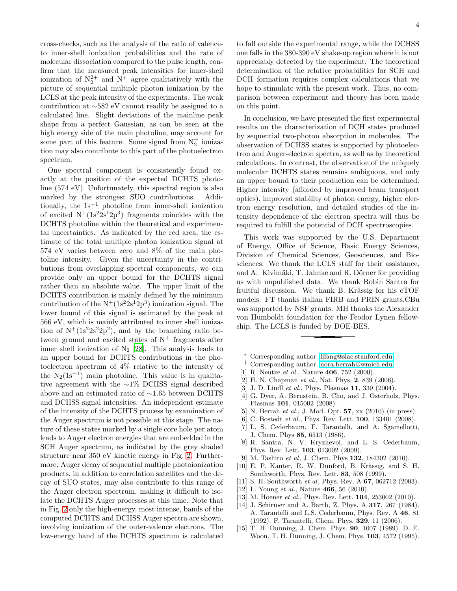cross-checks, such as the analysis of the ratio of valenceto inner-shell ionization probabilities and the rate of molecular dissociation compared to the pulse length, confirm that the measured peak intensities for inner-shell ionization of  $N_2^{2+}$  and  $N^+$  agree qualitatively with the picture of sequential multiple photon ionization by the LCLS at the peak intensity of the experiments. The weak contribution at ∼582 eV cannot readily be assigned to a calculated line. Slight deviations of the mainline peak shape from a perfect Gaussian, as can be seen at the high energy side of the main photoline, may account for some part of this feature. Some signal from  $N_2^+$  ionization may also contribute to this part of the photoelectron spectrum.

One spectral component is consistently found exactly at the position of the expected DCHTS photoline (574 eV). Unfortunately, this spectral region is also marked by the strongest SUO contributions. Additionally, the  $1s^{-1}$  photoline from inner-shell ionization of excited  $N^+(1s^22s^12p^3)$  fragments coincides with the DCHTS photoline within the theoretical and experimental uncertainties. As indicated by the red area, the estimate of the total multiple photon ionization signal at 574 eV varies between zero and 8% of the main photoline intensity. Given the uncertainty in the contributions from overlapping spectral components, we can provide only an upper bound for the DCHTS signal rather than an absolute value. The upper limit of the DCHTS contribution is mainly defined by the minimum contribution of the  $N^+(1s^22s^12p^3)$  ionization signal. The lower bound of this signal is estimated by the peak at 566 eV, which is mainly attributed to inner shell ionization of  $N^+(1s^22s^22p^2)$ , and by the branching ratio between ground and excited states of  $N^+$  fragments after inner shell ionization of  $N_2$  [\[28\]](#page-4-11). This analysis leads to an upper bound for DCHTS contributions in the photoelectron spectrum of 4% relative to the intensity of the  $N_2(1s^{-1})$  main photoline. This value is in qualitative agreement with the ∼1% DCHSS signal described above and an estimated ratio of ∼1.65 between DCHTS and DCHSS signal intensities. An independent estimate of the intensity of the DCHTS process by examination of the Auger spectrum is not possible at this stage. The nature of these states marked by a single core hole per atom leads to Auger electron energies that are embedded in the SCH Auger spectrum, as indicated by the grey shaded structure near 350 eV kinetic energy in Fig. [2.](#page-2-0) Furthermore, Auger decay of sequential multiple photoionization products, in addition to correlation satellites and the decay of SUO states, may also contribute to this range of the Auger electron spectrum, making it difficult to isolate the DCHTS Auger processes at this time. Note that in Fig. [2](#page-2-0) only the high-energy, most intense, bands of the computed DCHTS and DCHSS Auger spectra are shown, involving ionization of the outer-valence electrons. The low-energy band of the DCHTS spectrum is calculated

to fall outside the experimental range, while the DCHSS one falls in the 380-390 eV shake-up region where it is not appreciably detected by the experiment. The theoretical determination of the relative probabilities for SCH and DCH formation requires complex calculations that we hope to stimulate with the present work. Thus, no comparison between experiment and theory has been made on this point.

In conclusion, we have presented the first experimental results on the characterization of DCH states produced by sequential two-photon absorption in molecules. The observation of DCHSS states is supported by photoelectron and Auger-electron spectra, as well as by theoretical calculations. In contrast, the observation of the uniquely molecular DCHTS states remains ambiguous, and only an upper bound to their production can be determined. Higher intensity (afforded by improved beam transport optics), improved stability of photon energy, higher electron energy resolution, and detailed studies of the intensity dependence of the electron spectra will thus be required to fulfill the potential of DCH spectroscopies.

This work was supported by the U.S. Department of Energy, Office of Science, Basic Energy Sciences, Division of Chemical Sciences, Geosciences, and Biosciences. We thank the LCLS staff for their assistance, and A. Kivimäki, T. Jahnke and R. Dörner for providing us with unpublished data. We thank Robin Santra for fruitful discussion. We thank B. Krässig for his  $eTOF$ models. FT thanks italian FIRB and PRIN grants.CBu was supported by NSF grants. MH thanks the Alexander von Humboldt foundation for the Feodor Lynen fellowship. The LCLS is funded by DOE-BES.

- <sup>∗</sup> Corresponding author. [lifang@slac.stanford.edu](mailto:lifang@slac.stanford.edu)
- <span id="page-3-1"></span><span id="page-3-0"></span>† Corresponding author. [nora.berrah@wmich.edu](mailto:nora.berrah@wmich.edu)
- <span id="page-3-2"></span>[1] R. Neutze *et al.*, Nature **406**, 752 (2000).
- [2] H. N. Chapman et al., Nat. Phys.  $2, 839$  (2006).
- [3] J. D. Lindl *et al.*, Phys. Plasmas 11, 339 (2004).
- [4] G. Dyer, A. Bernstein, B. Cho, and J. Osterholz, Phys. Plasmas 101, 015002 (2008).
- [5] N. Berrah et al., J. Mod. Opt.  $57$ , xx (2010) (in press).
- <span id="page-3-3"></span>[6] C. Bostedt et al., Phys. Rev. Lett. **100**, 133401 (2008).
- <span id="page-3-4"></span>[7] L. S. Cederbaum, F. Tarantelli, and A. Sgamellotti, J. Chem. Phys 85, 6513 (1986).
- <span id="page-3-5"></span>[8] R. Santra, N. V. Kryzhevoi, and L. S. Cederbaum, Phys. Rev. Lett. 103, 013002 (2009).
- <span id="page-3-6"></span>[9] M. Tashiro *et al*, J. Chem. Phys **132**, 184302 (2010).
- <span id="page-3-7"></span>[10] E. P. Kanter, R. W. Dunford, B. Krässig, and S. H. Southworth, Phys. Rev. Lett. 83, 508 (1999).
- <span id="page-3-8"></span>[11] S. H. Southworth *et al*, Phys. Rev. A **67**, 062712 (2003).
- <span id="page-3-9"></span>[12] L. Young et al., Nature  $466, 56$  (2010).
- <span id="page-3-10"></span>[13] M. Hoener et al., Phys. Rev. Lett. **104**, 253002 (2010).
- <span id="page-3-11"></span>[14] J. Schirmer and A. Barth, Z. Phys. A 317, 267 (1984). A. Tarantelli and L.S. Cederbaum, Phys. Rev. A 46, 81 (1992). F. Tarantelli, Chem. Phys. 329, 11 (2006).
- <span id="page-3-12"></span>[15] T. H. Dunning, J. Chem. Phys. 90, 1007 (1989). D. E. Woon, T. H. Dunning, J. Chem. Phys. 103, 4572 (1995).